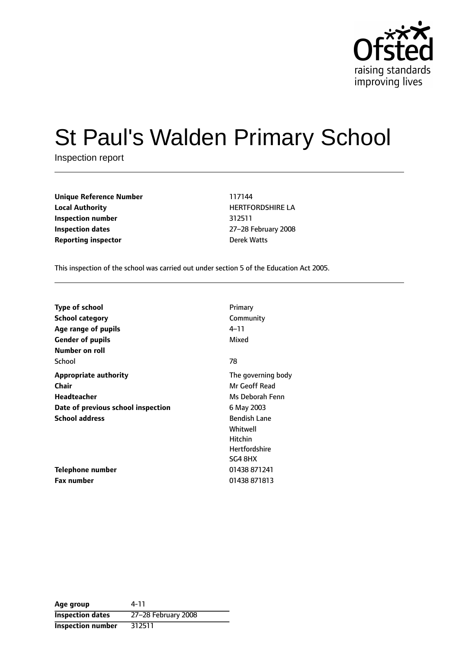

# St Paul's Walden Primary School

Inspection report

| Unique Reference Number    | 117144           |
|----------------------------|------------------|
| <b>Local Authority</b>     | <b>HERTFORDS</b> |
| Inspection number          | 312511           |
| <b>Inspection dates</b>    | 27-28 Februa     |
| <b>Reporting inspector</b> | Derek Watts      |

**Local Authority** HERTFORDSHIRE LA **Inspection number** 312511 **Inspection dates** 2728 February 2008

This inspection of the school was carried out under section 5 of the Education Act 2005.

| <b>Type of school</b>              | Primary              |
|------------------------------------|----------------------|
| <b>School category</b>             | Community            |
| Age range of pupils                | $4 - 11$             |
| <b>Gender of pupils</b>            | Mixed                |
| Number on roll                     |                      |
| School                             | 78                   |
| <b>Appropriate authority</b>       | The governing body   |
| Chair                              | Mr Geoff Read        |
| Headteacher                        | Ms Deborah Fenn      |
| Date of previous school inspection | 6 May 2003           |
| <b>School address</b>              | <b>Bendish Lane</b>  |
|                                    | Whitwell             |
|                                    | <b>Hitchin</b>       |
|                                    | <b>Hertfordshire</b> |
|                                    | SG4 8HX              |
| Telephone number                   | 01438 871241         |
| <b>Fax number</b>                  | 01438 871813         |

**Age group** 4-11 **Inspection dates** 27-28 February 2008 **Inspection number** 312511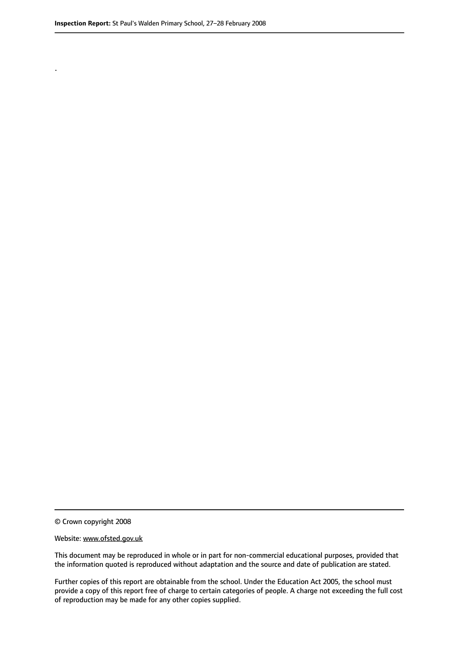.

© Crown copyright 2008

#### Website: www.ofsted.gov.uk

This document may be reproduced in whole or in part for non-commercial educational purposes, provided that the information quoted is reproduced without adaptation and the source and date of publication are stated.

Further copies of this report are obtainable from the school. Under the Education Act 2005, the school must provide a copy of this report free of charge to certain categories of people. A charge not exceeding the full cost of reproduction may be made for any other copies supplied.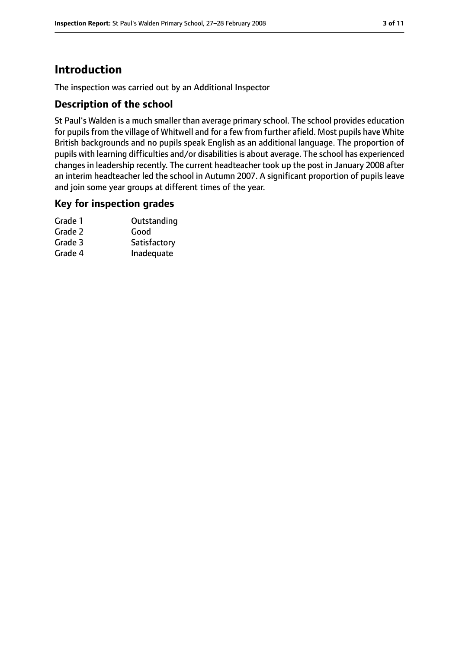# **Introduction**

The inspection was carried out by an Additional Inspector

## **Description of the school**

St Paul's Walden is a much smaller than average primary school. The school provides education for pupils from the village of Whitwell and for a few from further afield. Most pupils have White British backgrounds and no pupils speak English as an additional language. The proportion of pupils with learning difficulties and/or disabilities is about average. The school has experienced changes in leadership recently. The current headteacher took up the post in January 2008 after an interim headteacher led the school in Autumn 2007. A significant proportion of pupils leave and join some year groups at different times of the year.

## **Key for inspection grades**

| Grade 1 | Outstanding  |
|---------|--------------|
| Grade 2 | Good         |
| Grade 3 | Satisfactory |
| Grade 4 | Inadequate   |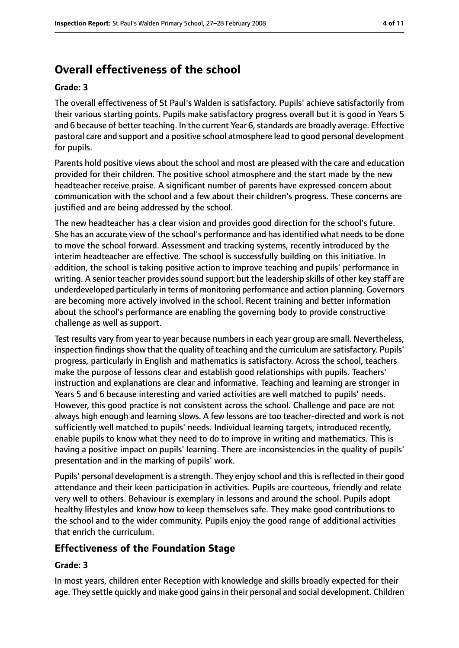# **Overall effectiveness of the school**

#### **Grade: 3**

The overall effectiveness of St Paul's Walden is satisfactory. Pupils' achieve satisfactorily from their various starting points. Pupils make satisfactory progress overall but it is good in Years 5 and 6 because of better teaching. In the current Year 6, standards are broadly average. Effective pastoral care and support and a positive school atmosphere lead to good personal development for pupils.

Parents hold positive views about the school and most are pleased with the care and education provided for their children. The positive school atmosphere and the start made by the new headteacher receive praise. A significant number of parents have expressed concern about communication with the school and a few about their children's progress. These concerns are justified and are being addressed by the school.

The new headteacher has a clear vision and provides good direction for the school's future. She has an accurate view of the school's performance and has identified what needs to be done to move the school forward. Assessment and tracking systems, recently introduced by the interim headteacher are effective. The school is successfully building on this initiative. In addition, the school is taking positive action to improve teaching and pupils' performance in writing. A senior teacher provides sound support but the leadership skills of other key staff are underdeveloped particularly in terms of monitoring performance and action planning. Governors are becoming more actively involved in the school. Recent training and better information about the school's performance are enabling the governing body to provide constructive challenge as well as support.

Test results vary from year to year because numbers in each year group are small. Nevertheless, inspection findings show that the quality of teaching and the curriculum are satisfactory. Pupils' progress, particularly in English and mathematics is satisfactory. Across the school, teachers make the purpose of lessons clear and establish good relationships with pupils. Teachers' instruction and explanations are clear and informative. Teaching and learning are stronger in Years 5 and 6 because interesting and varied activities are well matched to pupils' needs. However, this good practice is not consistent across the school. Challenge and pace are not always high enough and learning slows. A few lessons are too teacher-directed and work is not sufficiently well matched to pupils' needs. Individual learning targets, introduced recently, enable pupils to know what they need to do to improve in writing and mathematics. This is having a positive impact on pupils' learning. There are inconsistencies in the quality of pupils' presentation and in the marking of pupils' work.

Pupils' personal development is a strength. They enjoy school and thisis reflected in their good attendance and their keen participation in activities. Pupils are courteous, friendly and relate very well to others. Behaviour is exemplary in lessons and around the school. Pupils adopt healthy lifestyles and know how to keep themselves safe. They make good contributions to the school and to the wider community. Pupils enjoy the good range of additional activities that enrich the curriculum.

# **Effectiveness of the Foundation Stage**

## **Grade: 3**

In most years, children enter Reception with knowledge and skills broadly expected for their age. They settle quickly and make good gains in their personal and social development. Children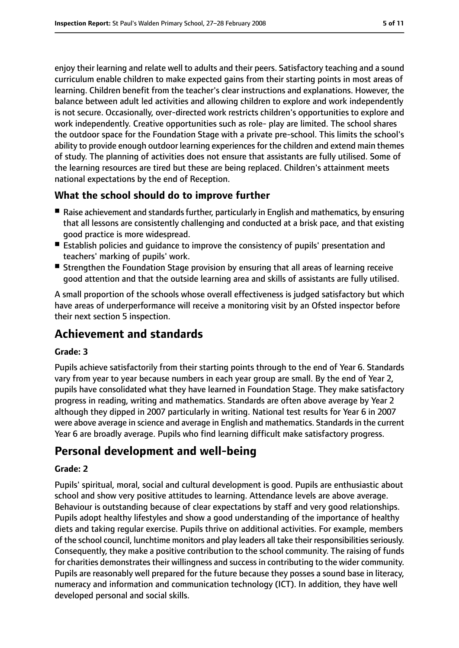enjoy their learning and relate well to adults and their peers. Satisfactory teaching and a sound curriculum enable children to make expected gains from their starting points in most areas of learning. Children benefit from the teacher's clear instructions and explanations. However, the balance between adult led activities and allowing children to explore and work independently is not secure. Occasionally, over-directed work restricts children's opportunities to explore and work independently. Creative opportunities such as role- play are limited. The school shares the outdoor space for the Foundation Stage with a private pre-school. This limits the school's ability to provide enough outdoor learning experiences for the children and extend main themes of study. The planning of activities does not ensure that assistants are fully utilised. Some of the learning resources are tired but these are being replaced. Children's attainment meets national expectations by the end of Reception.

# **What the school should do to improve further**

- Raise achievement and standards further, particularly in English and mathematics, by ensuring that all lessons are consistently challenging and conducted at a brisk pace, and that existing good practice is more widespread.
- Establish policies and quidance to improve the consistency of pupils' presentation and teachers' marking of pupils' work.
- Strengthen the Foundation Stage provision by ensuring that all areas of learning receive good attention and that the outside learning area and skills of assistants are fully utilised.

A small proportion of the schools whose overall effectiveness is judged satisfactory but which have areas of underperformance will receive a monitoring visit by an Ofsted inspector before their next section 5 inspection.

# **Achievement and standards**

#### **Grade: 3**

Pupils achieve satisfactorily from their starting points through to the end of Year 6. Standards vary from year to year because numbers in each year group are small. By the end of Year 2, pupils have consolidated what they have learned in Foundation Stage. They make satisfactory progress in reading, writing and mathematics. Standards are often above average by Year 2 although they dipped in 2007 particularly in writing. National test results for Year 6 in 2007 were above average in science and average in English and mathematics. Standardsin the current Year 6 are broadly average. Pupils who find learning difficult make satisfactory progress.

# **Personal development and well-being**

#### **Grade: 2**

Pupils' spiritual, moral, social and cultural development is good. Pupils are enthusiastic about school and show very positive attitudes to learning. Attendance levels are above average. Behaviour is outstanding because of clear expectations by staff and very good relationships. Pupils adopt healthy lifestyles and show a good understanding of the importance of healthy diets and taking regular exercise. Pupils thrive on additional activities. For example, members of the school council, lunchtime monitors and play leaders all take their responsibilitiesseriously. Consequently, they make a positive contribution to the school community. The raising of funds for charities demonstrates their willingness and success in contributing to the wider community. Pupils are reasonably well prepared for the future because they posses a sound base in literacy, numeracy and information and communication technology (ICT). In addition, they have well developed personal and social skills.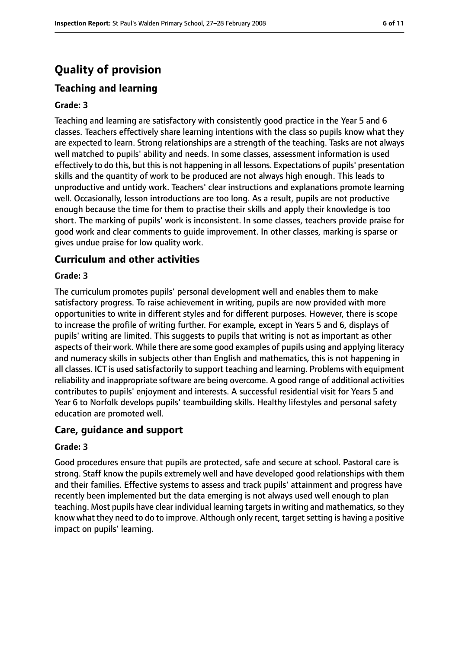# **Quality of provision**

# **Teaching and learning**

#### **Grade: 3**

Teaching and learning are satisfactory with consistently good practice in the Year 5 and 6 classes. Teachers effectively share learning intentions with the class so pupils know what they are expected to learn. Strong relationships are a strength of the teaching. Tasks are not always well matched to pupils' ability and needs. In some classes, assessment information is used effectively to do this, but this is not happening in all lessons. Expectations of pupils' presentation skills and the quantity of work to be produced are not always high enough. This leads to unproductive and untidy work. Teachers' clear instructions and explanations promote learning well. Occasionally, lesson introductions are too long. As a result, pupils are not productive enough because the time for them to practise their skills and apply their knowledge is too short. The marking of pupils' work is inconsistent. In some classes, teachers provide praise for good work and clear comments to guide improvement. In other classes, marking is sparse or gives undue praise for low quality work.

## **Curriculum and other activities**

#### **Grade: 3**

The curriculum promotes pupils' personal development well and enables them to make satisfactory progress. To raise achievement in writing, pupils are now provided with more opportunities to write in different styles and for different purposes. However, there is scope to increase the profile of writing further. For example, except in Years 5 and 6, displays of pupils' writing are limited. This suggests to pupils that writing is not as important as other aspects of their work. While there are some good examples of pupils using and applying literacy and numeracy skills in subjects other than English and mathematics, this is not happening in all classes. ICT is used satisfactorily to support teaching and learning. Problems with equipment reliability and inappropriate software are being overcome. A good range of additional activities contributes to pupils' enjoyment and interests. A successful residential visit for Years 5 and Year 6 to Norfolk develops pupils' teambuilding skills. Healthy lifestyles and personal safety education are promoted well.

## **Care, guidance and support**

#### **Grade: 3**

Good procedures ensure that pupils are protected, safe and secure at school. Pastoral care is strong. Staff know the pupils extremely well and have developed good relationships with them and their families. Effective systems to assess and track pupils' attainment and progress have recently been implemented but the data emerging is not always used well enough to plan teaching. Most pupils have clear individual learning targets in writing and mathematics, so they know what they need to do to improve. Although only recent, target setting is having a positive impact on pupils' learning.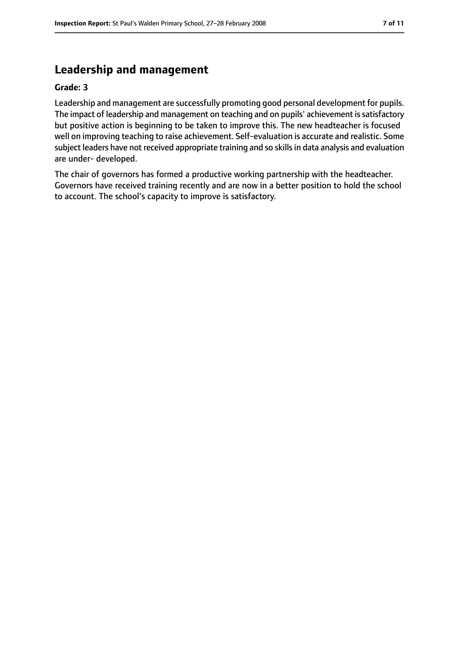# **Leadership and management**

#### **Grade: 3**

Leadership and management are successfully promoting good personal development for pupils. The impact of leadership and management on teaching and on pupils' achievement is satisfactory but positive action is beginning to be taken to improve this. The new headteacher is focused well on improving teaching to raise achievement. Self-evaluation is accurate and realistic. Some subject leaders have not received appropriate training and so skills in data analysis and evaluation are under- developed.

The chair of governors has formed a productive working partnership with the headteacher. Governors have received training recently and are now in a better position to hold the school to account. The school's capacity to improve is satisfactory.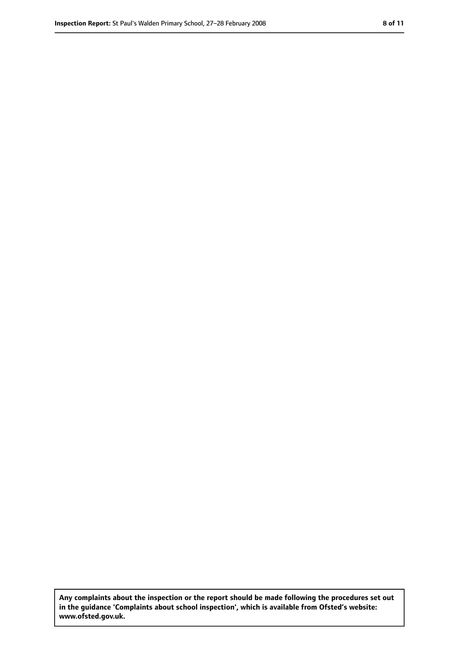**Any complaints about the inspection or the report should be made following the procedures set out in the guidance 'Complaints about school inspection', which is available from Ofsted's website: www.ofsted.gov.uk.**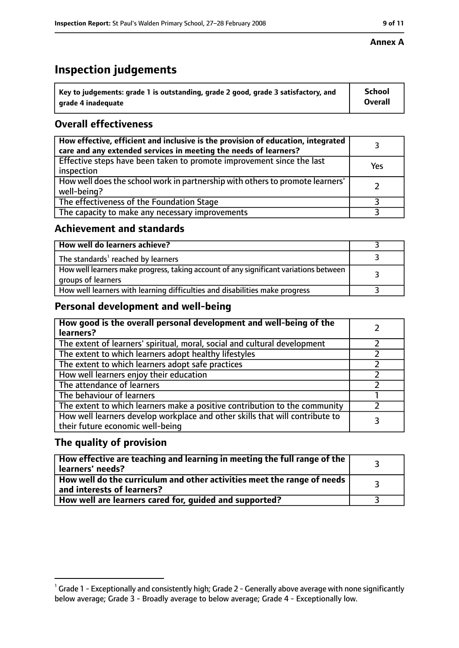# **Inspection judgements**

| $\dot{~}$ Key to judgements: grade 1 is outstanding, grade 2 good, grade 3 satisfactory, and | <b>School</b>  |
|----------------------------------------------------------------------------------------------|----------------|
| arade 4 inadequate                                                                           | <b>Overall</b> |

# **Overall effectiveness**

| How effective, efficient and inclusive is the provision of education, integrated<br>care and any extended services in meeting the needs of learners? |     |
|------------------------------------------------------------------------------------------------------------------------------------------------------|-----|
| Effective steps have been taken to promote improvement since the last<br>inspection                                                                  | Yes |
| How well does the school work in partnership with others to promote learners'<br>well-being?                                                         |     |
| The effectiveness of the Foundation Stage                                                                                                            |     |
| The capacity to make any necessary improvements                                                                                                      |     |

## **Achievement and standards**

| How well do learners achieve?                                                                               |  |
|-------------------------------------------------------------------------------------------------------------|--|
| The standards <sup>1</sup> reached by learners                                                              |  |
| How well learners make progress, taking account of any significant variations between<br>groups of learners |  |
| How well learners with learning difficulties and disabilities make progress                                 |  |

# **Personal development and well-being**

| How good is the overall personal development and well-being of the<br>learners?                                  |  |
|------------------------------------------------------------------------------------------------------------------|--|
| The extent of learners' spiritual, moral, social and cultural development                                        |  |
| The extent to which learners adopt healthy lifestyles                                                            |  |
| The extent to which learners adopt safe practices                                                                |  |
| How well learners enjoy their education                                                                          |  |
| The attendance of learners                                                                                       |  |
| The behaviour of learners                                                                                        |  |
| The extent to which learners make a positive contribution to the community                                       |  |
| How well learners develop workplace and other skills that will contribute to<br>their future economic well-being |  |

## **The quality of provision**

| How effective are teaching and learning in meeting the full range of the<br>learners' needs?          |  |
|-------------------------------------------------------------------------------------------------------|--|
| How well do the curriculum and other activities meet the range of needs<br>and interests of learners? |  |
| How well are learners cared for, guided and supported?                                                |  |

### **Annex A**

 $^1$  Grade 1 - Exceptionally and consistently high; Grade 2 - Generally above average with none significantly below average; Grade 3 - Broadly average to below average; Grade 4 - Exceptionally low.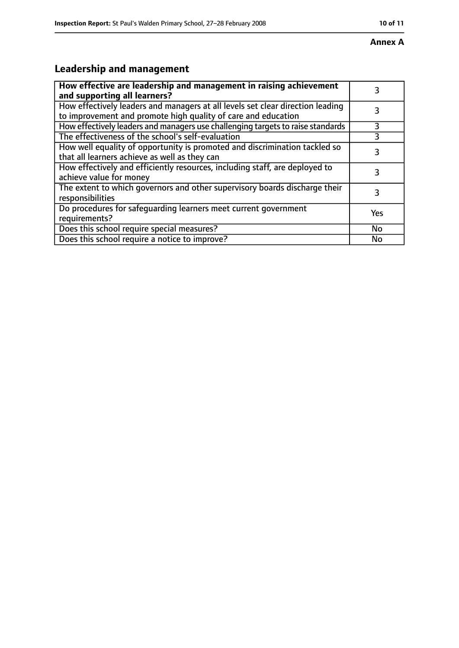#### **Annex A**

# **Leadership and management**

| How effective are leadership and management in raising achievement<br>and supporting all learners?                                              | 3         |
|-------------------------------------------------------------------------------------------------------------------------------------------------|-----------|
| How effectively leaders and managers at all levels set clear direction leading<br>to improvement and promote high quality of care and education |           |
| How effectively leaders and managers use challenging targets to raise standards                                                                 | 3         |
| The effectiveness of the school's self-evaluation                                                                                               |           |
| How well equality of opportunity is promoted and discrimination tackled so<br>that all learners achieve as well as they can                     | 3         |
| How effectively and efficiently resources, including staff, are deployed to<br>achieve value for money                                          | 3         |
| The extent to which governors and other supervisory boards discharge their<br>responsibilities                                                  | 3         |
| Do procedures for safequarding learners meet current government<br>requirements?                                                                | Yes       |
| Does this school require special measures?                                                                                                      | <b>No</b> |
| Does this school require a notice to improve?                                                                                                   | No        |